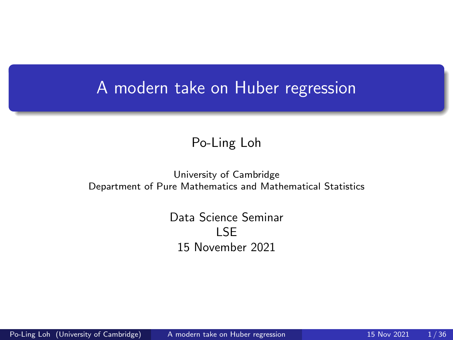## <span id="page-0-0"></span>A modern take on Huber regression

#### Po-Ling Loh

#### University of Cambridge Department of Pure Mathematics and Mathematical Statistics

Data Science Seminar LSE 15 November 2021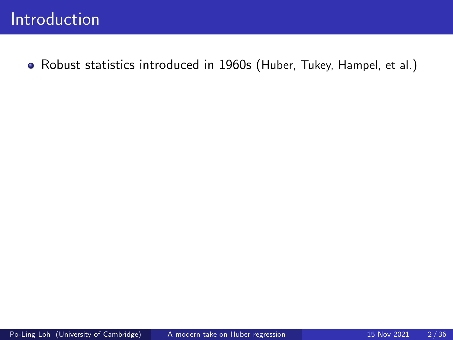Robust statistics introduced in 1960s (Huber, Tukey, Hampel, et al.)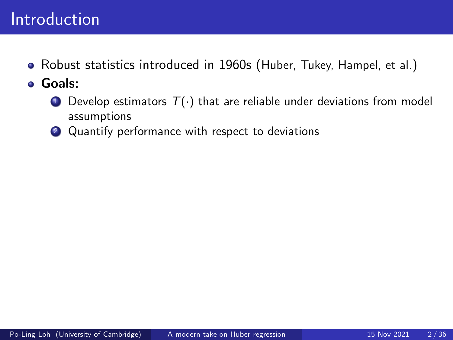## **Introduction**

- Robust statistics introduced in 1960s (Huber, Tukey, Hampel, et al.)
- Goals:
	- **1** Develop estimators  $T(\cdot)$  that are reliable under deviations from model assumptions
	- 2 Quantify performance with respect to deviations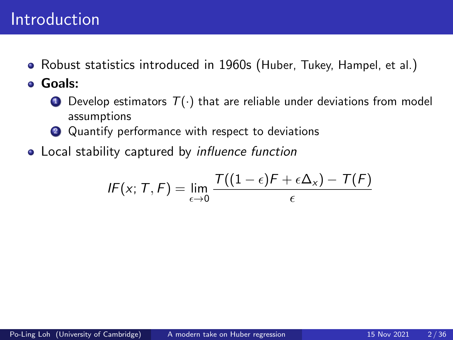## Introduction

Robust statistics introduced in 1960s (Huber, Tukey, Hampel, et al.)

Goals:

- **1** Develop estimators  $T(\cdot)$  that are reliable under deviations from model assumptions
- 2 Quantify performance with respect to deviations
- Local stability captured by *influence function*

$$
IF(x; T, F) = \lim_{\epsilon \to 0} \frac{T((1 - \epsilon)F + \epsilon \Delta_x) - T(F)}{\epsilon}
$$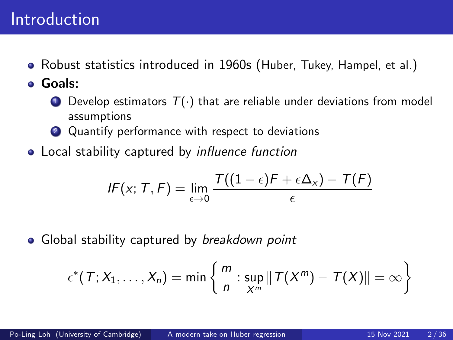## Introduction

Robust statistics introduced in 1960s (Huber, Tukey, Hampel, et al.)

Goals:

- **1** Develop estimators  $T(\cdot)$  that are reliable under deviations from model assumptions
- 2 Quantify performance with respect to deviations
- Local stability captured by *influence function*

$$
IF(x; T, F) = \lim_{\epsilon \to 0} \frac{T((1 - \epsilon)F + \epsilon \Delta_x) - T(F)}{\epsilon}
$$

• Global stability captured by breakdown point

$$
\epsilon^*(T; X_1, \ldots, X_n) = \min \left\{ \frac{m}{n} : \sup_{X^m} ||T(X^m) - T(X)|| = \infty \right\}
$$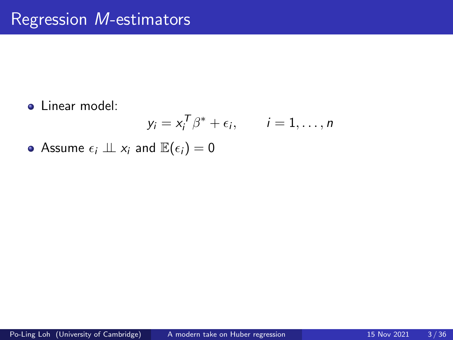**.** Linear model:

$$
y_i = x_i^T \beta^* + \epsilon_i, \qquad i = 1, \ldots, n
$$

• Assume  $\epsilon_i \perp \!\!\! \perp x_i$  and  $\mathbb{E}(\epsilon_i) = 0$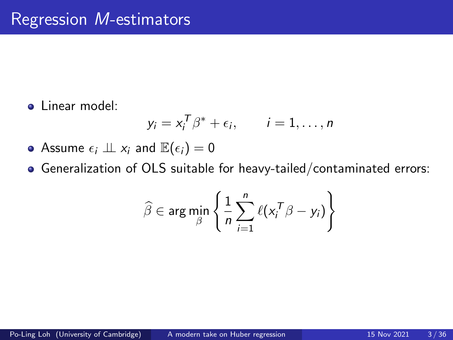**.** Linear model:

$$
y_i = x_i^T \beta^* + \epsilon_i, \qquad i = 1, \ldots, n
$$

- Assume  $\epsilon_i \perp z_i$  and  $\mathbb{E}(\epsilon_i) = 0$
- Generalization of OLS suitable for heavy-tailed/contaminated errors:

$$
\widehat{\beta} \in \arg\min_{\beta} \left\{ \frac{1}{n} \sum_{i=1}^{n} \ell(x_i^T \beta - y_i) \right\}
$$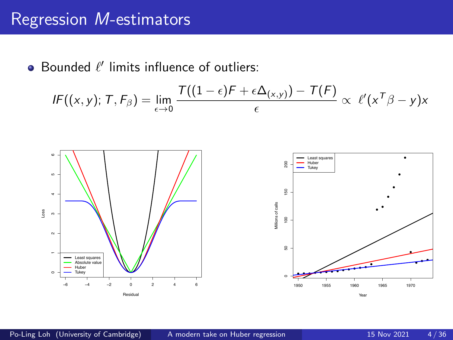## Regression M-estimators

Bounded  $\ell'$  limits influence of outliers:

$$
IF((x, y); T, F_{\beta}) = \lim_{\epsilon \to 0} \frac{T((1 - \epsilon)F + \epsilon \Delta_{(x, y)}) - T(F)}{\epsilon} \propto \ell'(x^{T}\beta - y)x
$$

Residual

Year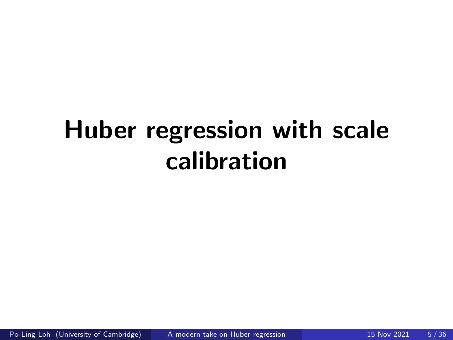## Huber regression with scale calibration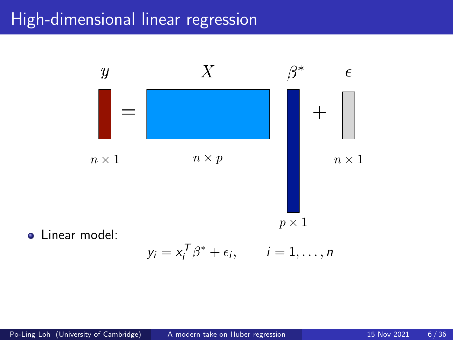## High-dimensional linear regression



$$
y_i = x_i^T \beta^* + \epsilon_i, \qquad i = 1, \ldots, n
$$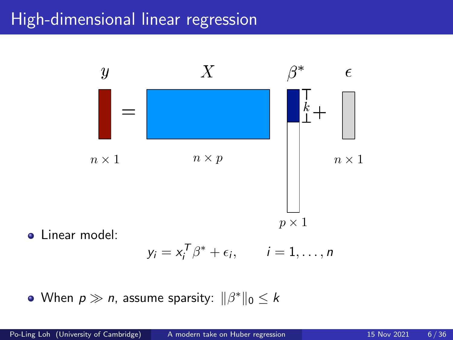## High-dimensional linear regression



$$
y_i = x_i^T \beta^* + \epsilon_i, \qquad i = 1, \ldots, n
$$

When  $p\gg n$ , assume sparsity:  $\|\beta^*\|_0\leq k$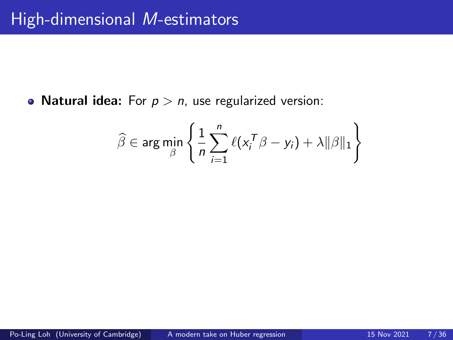• Natural idea: For  $p > n$ , use regularized version:

$$
\widehat{\beta} \in \arg \min_{\beta} \left\{ \frac{1}{n} \sum_{i=1}^{n} \ell(x_i^T \beta - y_i) + \lambda ||\beta||_1 \right\}
$$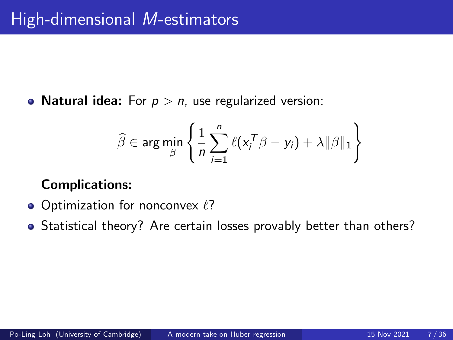• Natural idea: For  $p > n$ , use regularized version:

$$
\widehat{\beta} \in \arg \min_{\beta} \left\{ \frac{1}{n} \sum_{i=1}^{n} \ell(x_i^T \beta - y_i) + \lambda ||\beta||_1 \right\}
$$

### Complications:

- $\bullet$  Optimization for nonconvex  $\ell$ ?
- Statistical theory? Are certain losses provably better than others?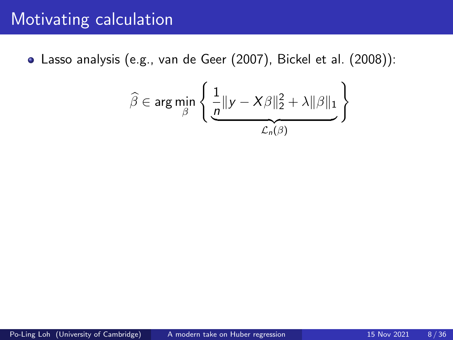Lasso analysis (e.g., van de Geer (2007), Bickel et al. (2008)):

$$
\widehat{\beta} \in \arg \min_{\beta} \left\{ \underbrace{\frac{1}{n} || y - X\beta ||_2^2 + \lambda ||\beta||_1}_{\mathcal{L}_n(\beta)} \right\}
$$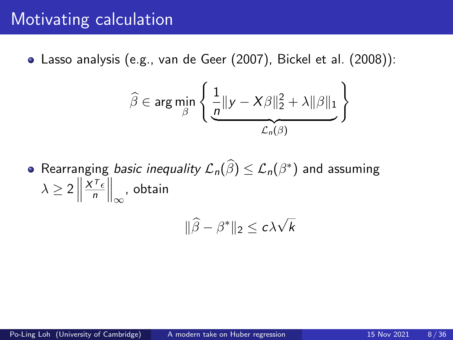Lasso analysis (e.g., van de Geer (2007), Bickel et al. (2008)):

$$
\widehat{\beta} \in \arg \min_{\beta} \left\{ \underbrace{\frac{1}{n} ||y - X\beta||_2^2 + \lambda ||\beta||_1}_{\mathcal{L}_n(\beta)} \right\}
$$

Rearranging *basic inequality*  $\mathcal{L}_n(\widehat{\beta}) \leq \mathcal{L}_n(\beta^*)$  and assuming  $\lambda \geq 2$  $X^{\mathsf{T}} \epsilon$ n  $\Big\|_{\infty}$ , obtain

$$
\|\widehat{\beta}-\beta^*\|_2\leq c\lambda\sqrt{k}
$$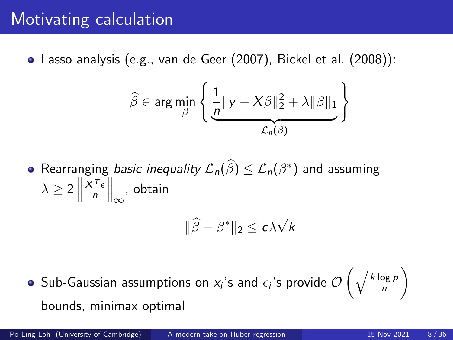Lasso analysis (e.g., van de Geer (2007), Bickel et al. (2008)):

$$
\widehat{\beta} \in \arg \min_{\beta} \left\{ \underbrace{\frac{1}{n} ||y - X\beta||_2^2 + \lambda ||\beta||_1}_{\mathcal{L}_n(\beta)} \right\}
$$

Rearranging *basic inequality*  $\mathcal{L}_n(\widehat{\beta}) \leq \mathcal{L}_n(\beta^*)$  and assuming  $\lambda \geq 2$  $X^{\mathsf{T}} \epsilon$ n  $\Big\|_{\infty}$ , obtain

$$
\|\widehat{\beta}-\beta^*\|_2\leq c\lambda\sqrt{k}
$$

Sub-Gaussian assumptions on  $x_i$ 's and  $\epsilon_i$ 's provide  $\mathcal O$  $\int \sqrt{k \log p}$ n bounds, minimax optimal

<sup>1</sup>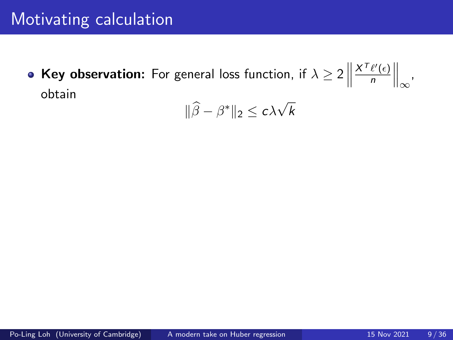**Key observation:** For general loss function, if  $\lambda \geq 2$   $\Big\|$  $X^{\mathcal{T}}\ell'(\epsilon)$ n  $\Big\|_{\infty}$ , obtain

$$
\|\widehat{\beta}-\beta^*\|_2\leq c\lambda\sqrt{k}
$$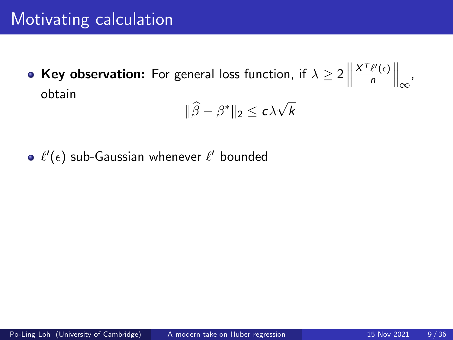**Key observation:** For general loss function, if  $\lambda \geq 2$   $\Big\|$  $X^{\mathcal{T}}\ell'(\epsilon)$ n  $\Big\|_{\infty}$ , obtain

$$
\|\widehat{\beta}-\beta^*\|_2\leq c\lambda\sqrt{k}
$$

 $\ell^\prime(\epsilon)$  sub-Gaussian whenever  $\ell^\prime$  bounded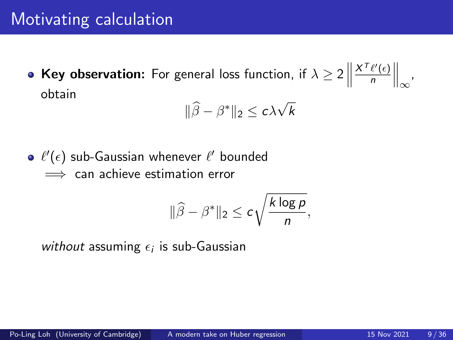**Key observation:** For general loss function, if  $\lambda \geq 2$   $\Big\|$  $X^{\mathcal{T}}\ell'(\epsilon)$ n  $\Big\|_{\infty}$ , obtain

$$
\|\widehat{\beta}-\beta^*\|_2 \leq c\lambda\sqrt{k}
$$

 $\ell^\prime(\epsilon)$  sub-Gaussian whenever  $\ell^\prime$  bounded  $\implies$  can achieve estimation error

$$
\|\widehat{\beta}-\beta^*\|_2\leq c\sqrt{\frac{k\log p}{n}},
$$

without assuming  $\epsilon_i$  is sub-Gaussian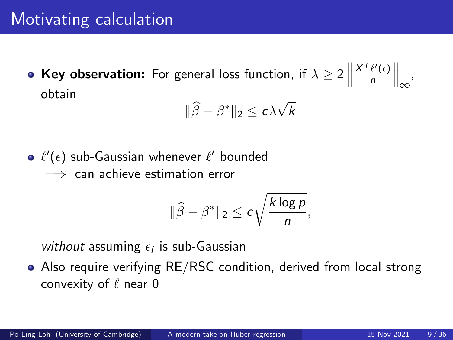**Key observation:** For general loss function, if  $\lambda \geq 2$   $\Big\|$  $X^{\mathcal{T}}\ell'(\epsilon)$ n  $\Big\|_{\infty}$ , obtain

$$
\|\widehat{\beta}-\beta^*\|_2\leq c\lambda\sqrt{k}
$$

 $\ell^\prime(\epsilon)$  sub-Gaussian whenever  $\ell^\prime$  bounded  $\implies$  can achieve estimation error

$$
\|\widehat{\beta}-\beta^*\|_2\leq c\sqrt{\frac{k\log p}{n}},
$$

without assuming  $\epsilon_i$  is sub-Gaussian

Also require verifying RE/RSC condition, derived from local strong convexity of  $\ell$  near 0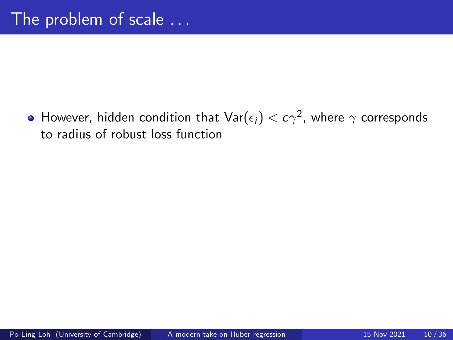However, hidden condition that  $\mathsf{Var}(\epsilon_i) < c\gamma^2$ , where  $\gamma$  corresponds to radius of robust loss function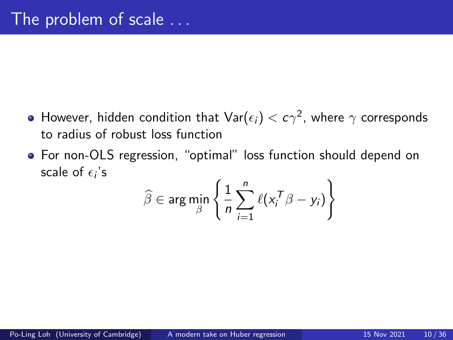- However, hidden condition that  $\mathsf{Var}(\epsilon_i) < c\gamma^2$ , where  $\gamma$  corresponds to radius of robust loss function
- For non-OLS regression, "optimal" loss function should depend on scale of  $\epsilon_i$ 's

$$
\widehat{\beta} \in \arg\min_{\beta} \left\{ \frac{1}{n} \sum_{i=1}^{n} \ell(x_i^T \beta - y_i) \right\}
$$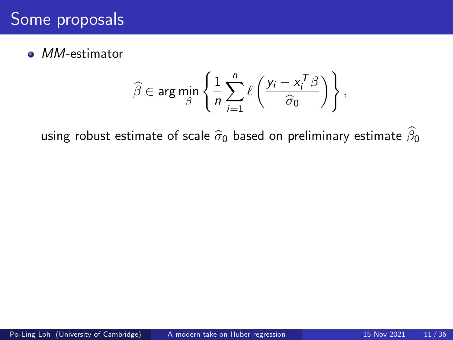## Some proposals

• MM-estimator

$$
\widehat{\beta} \in \arg \min_{\beta} \left\{ \frac{1}{n} \sum_{i=1}^n \ell \left( \frac{y_i - x_i^T \beta}{\widehat{\sigma}_0} \right) \right\},\
$$

using robust estimate of scale  $\widehat{\sigma}_0$  based on preliminary estimate  $\widehat{\beta}_0$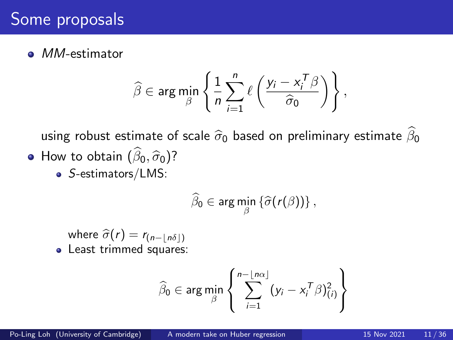## Some proposals

• MM-estimator

$$
\widehat{\beta} \in \arg \min_{\beta} \left\{ \frac{1}{n} \sum_{i=1}^{n} \ell \left( \frac{y_i - x_i^T \beta}{\widehat{\sigma}_0} \right) \right\},\
$$

using robust estimate of scale  $\hat{\sigma}_0$  based on preliminary estimate  $\hat{\beta}_0$ • How to obtain  $(\widehat{\beta}_0, \widehat{\sigma}_0)$ ?

• S-estimators/LMS:

$$
\widehat{\beta}_0 \in \arg\min_{\beta} \left\{ \widehat{\sigma}(r(\beta)) \right\},
$$

where  $\hat{\sigma}(r) = r_{(n-|\hat{n\delta}|)}$ • Least trimmed squares:

$$
\widehat{\beta}_0 \in \arg \min_{\beta} \left\{ \sum_{i=1}^{n - \lfloor n\alpha \rfloor} (y_i - x_i^T \beta)_{(i)}^2 \right\}
$$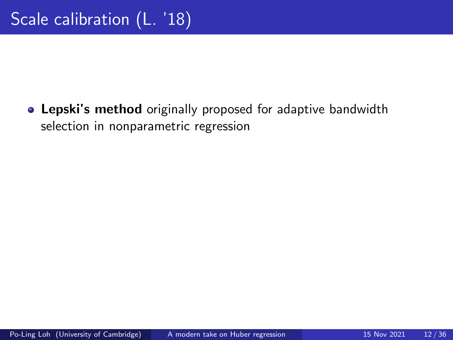Lepski's method originally proposed for adaptive bandwidth selection in nonparametric regression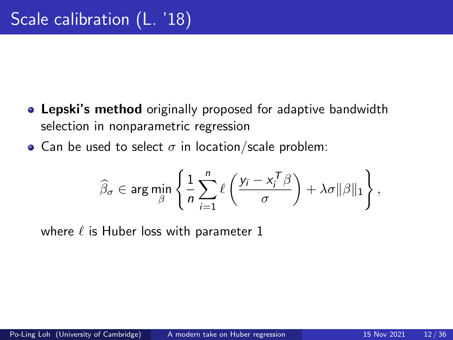- **Lepski's method** originally proposed for adaptive bandwidth selection in nonparametric regression
- Can be used to select  $\sigma$  in location/scale problem:

$$
\widehat{\beta}_{\sigma} \in \arg \min_{\beta} \left\{ \frac{1}{n} \sum_{i=1}^{n} \ell \left( \frac{y_{i} - x_{i}^{T} \beta}{\sigma} \right) + \lambda \sigma ||\beta||_{1} \right\},\
$$

where  $\ell$  is Huber loss with parameter 1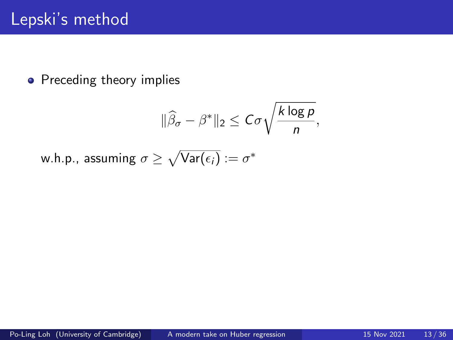$$
\|\widehat{\beta}_{\sigma}-\beta^*\|_2\leq C\sigma\sqrt{\frac{k\log p}{n}},
$$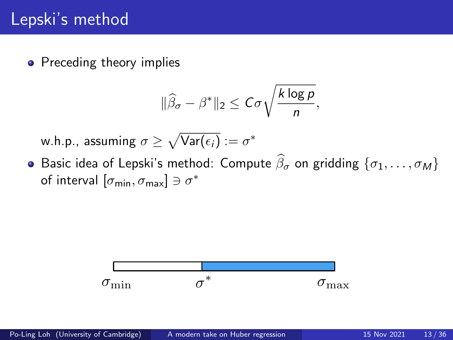$$
\|\widehat{\beta}_{\sigma}-\beta^*\|_2\leq C\sigma\sqrt{\frac{k\log p}{n}},
$$

w.h.p., assuming  $\sigma \geq \sqrt{\text{Var}(\epsilon_i)} := \sigma^*$ 

**•** Basic idea of Lepski's method: Compute  $\widehat{\beta}_{\sigma}$  on gridding  $\{\sigma_1, \ldots, \sigma_M\}$ of interval  $[\sigma_{\min}, \sigma_{\max}] \ni \sigma^*$ 

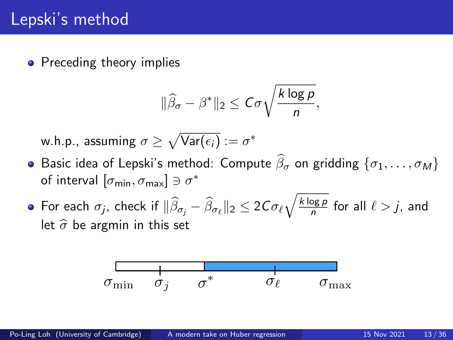$$
\|\widehat{\beta}_{\sigma}-\beta^*\|_2\leq C\sigma\sqrt{\frac{k\log p}{n}},
$$

- **•** Basic idea of Lepski's method: Compute  $\widehat{\beta}_{\sigma}$  on gridding  $\{\sigma_1, \ldots, \sigma_M\}$ of interval  $[\sigma_{\min}, \sigma_{\max}] \ni \sigma^*$
- For each  $\sigma_j$ , check if  $\|\widehat{\beta}_{\sigma_j}-\widehat{\beta}_{\sigma_\ell}\|_2 \leq 2C\sigma_\ell \sqrt{\frac{k\log p}{n}}$  $\frac{\log p}{n}$  for all  $\ell > j$ , and let  $\hat{\sigma}$  be argmin in this set

$$
\sigma_{\min} \quad \ \ \sigma_j \quad \ \ \sigma^* \qquad \quad \ \sigma_\ell \qquad \quad \ \sigma_{\max}
$$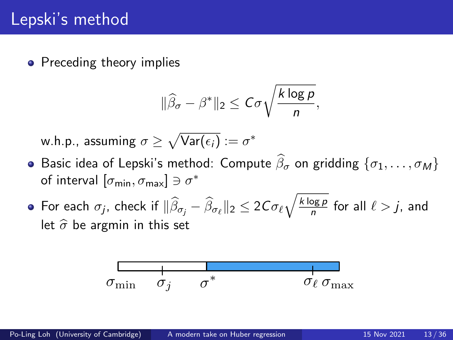$$
\|\widehat{\beta}_{\sigma}-\beta^*\|_2\leq C\sigma\sqrt{\frac{k\log p}{n}},
$$

- **•** Basic idea of Lepski's method: Compute  $\widehat{\beta}_{\sigma}$  on gridding  $\{\sigma_1, \ldots, \sigma_M\}$ of interval  $[\sigma_{\min}, \sigma_{\max}] \ni \sigma^*$
- For each  $\sigma_j$ , check if  $\|\widehat{\beta}_{\sigma_j}-\widehat{\beta}_{\sigma_\ell}\|_2 \leq 2C\sigma_\ell \sqrt{\frac{k\log p}{n}}$  $\frac{\log p}{n}$  for all  $\ell > j$ , and let  $\hat{\sigma}$  be argmin in this set

$$
\begin{array}{c|c}\n & \phantom{\overline{\smash{\big)}_{\smash{\big\downarrow}}}}\n & \phantom{\overline{\smash{\big)}_{\smash{\big\downarrow}}}}\n & \phantom{\overline{\smash{\big)}_{\smash{\big\downarrow}}}}\n & \phantom{\overline{\smash{\big)}_{\smash{\big\downarrow}}}}\n & \phantom{\overline{\smash{\big)}_{\smash{\big\downarrow}}}}\n & \phantom{\overline{\smash{\big)}_{\smash{\big\downarrow}}}}\n & \phantom{\overline{\smash{\big)}_{\smash{\big\downarrow}}}}\n & \phantom{\overline{\smash{\big\downarrow}}}\n & \phantom{\overline{\smash{\big)}_{\smash{\big\downarrow}}}}\n & \phantom{\overline{\smash{\big\downarrow}}}\n & \phantom{\overline{\smash{\big\downarrow}}}\n & \phantom{\overline{\smash{\big\downarrow}}}\n & \phantom{\overline{\smash{\big\downarrow}}}\n & \phantom{\overline{\smash{\big\downarrow}}}\n & \phantom{\overline{\smash{\big\downarrow}}}\n & \phantom{\overline{\smash{\big\downarrow}}}\n & \phantom{\overline{\smash{\big\downarrow}}}\n & \phantom{\overline{\smash{\big\downarrow}}}\n & \phantom{\overline{\smash{\big\downarrow}}}\n & \phantom{\overline{\smash{\big\downarrow}}}\n & \phantom{\overline{\smash{\big\downarrow}}}\n & \phantom{\overline{\smash{\big\downarrow}}}\n & \phantom{\overline{\smash{\big\downarrow}}}\n & \phantom{\overline{\smash{\big\downarrow}}}\n & \phantom{\overline{\smash{\big\downarrow}}}\n & \phantom{\overline{\smash{\big\downarrow}}}\n & \phantom{\overline{\smash{\big\downarrow}}}\n & \phantom{\overline{\smash{\big\downarrow}}}\n & \phantom{\overline{\smash{\big\downarrow}}}\n & \phantom{\overline{\smash{\big\downarrow}}}\n & \phantom{\overline{\smash{\big\downarrow}}}\n & \phantom{\overline{\smash{\big\downarrow}}}\n & \phantom{\overline{\smash{\big\downarrow}}}\n & \phantom{\overline{\smash{\big\downarrow}}}\n & \phantom{\overline{\smash{\big\downarrow}}}\n & \phantom{\overline{\smash{\big\downarrow}}}\n & \phantom{\overline{\smash{\big\downarrow}}}\n & \phantom{\overline{\smash{\big\downarrow}}}\n & \
$$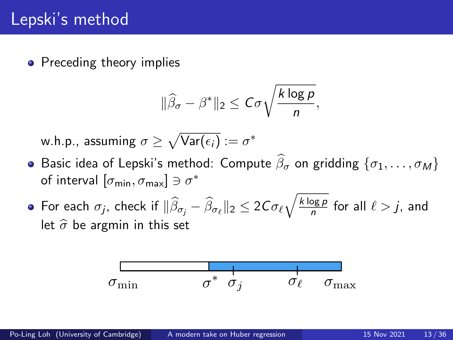$$
\|\widehat{\beta}_{\sigma}-\beta^*\|_2\leq C\sigma\sqrt{\frac{k\log p}{n}},
$$

- **•** Basic idea of Lepski's method: Compute  $\widehat{\beta}_{\sigma}$  on gridding  $\{\sigma_1, \ldots, \sigma_M\}$ of interval  $[\sigma_{\min}, \sigma_{\max}] \ni \sigma^*$
- For each  $\sigma_j$ , check if  $\|\widehat{\beta}_{\sigma_j}-\widehat{\beta}_{\sigma_\ell}\|_2 \leq 2C\sigma_\ell \sqrt{\frac{k\log p}{n}}$  $\frac{\log p}{n}$  for all  $\ell > j$ , and let  $\hat{\sigma}$  be argmin in this set

$$
\sigma_{\min} \qquad \qquad \sigma^* \ \ \sigma_j \qquad \qquad \sigma_\ell \qquad \sigma_{\max}
$$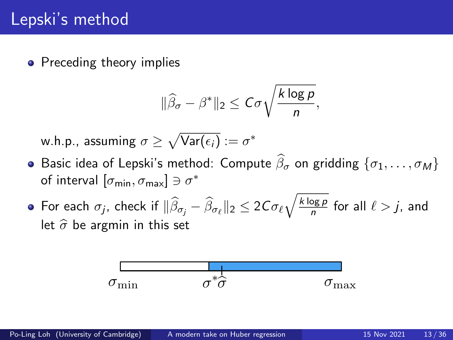$$
\|\widehat{\beta}_{\sigma}-\beta^*\|_2\leq C\sigma\sqrt{\frac{k\log p}{n}},
$$

- **•** Basic idea of Lepski's method: Compute  $\widehat{\beta}_{\sigma}$  on gridding  $\{\sigma_1, \ldots, \sigma_M\}$ of interval  $[\sigma_{\min}, \sigma_{\max}] \ni \sigma^*$
- For each  $\sigma_j$ , check if  $\|\widehat{\beta}_{\sigma_j}-\widehat{\beta}_{\sigma_\ell}\|_2 \leq 2C\sigma_\ell \sqrt{\frac{k\log p}{n}}$  $\frac{\log p}{n}$  for all  $\ell > j$ , and let  $\hat{\sigma}$  be argmin in this set

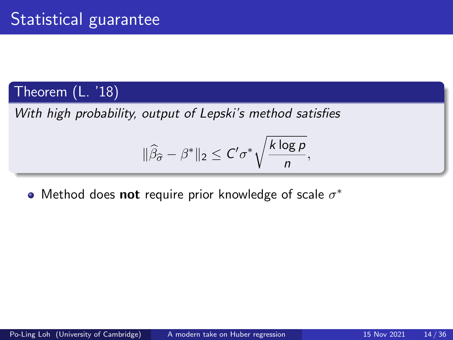## Theorem (L. '18)

With high probability, output of Lepski's method satisfies

$$
\|\widehat{\beta}_{\widehat{\sigma}} - \beta^*\|_2 \leq C' \sigma^* \sqrt{\frac{k \log p}{n}},
$$

Method does not require prior knowledge of scale  $\sigma^*$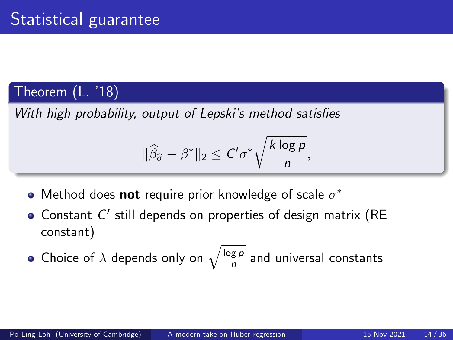## Theorem (L. '18)

With high probability, output of Lepski's method satisfies

$$
\|\widehat{\beta}_{\widehat{\sigma}} - \beta^*\|_2 \leq C' \sigma^* \sqrt{\frac{k \log p}{n}},
$$

- Method does not require prior knowledge of scale  $\sigma^*$
- Constant  $C'$  still depends on properties of design matrix (RE constant)
- Choice of  $\lambda$  depends only on  $\sqrt{\frac{\log p}{n}}$  $\frac{g \, p}{n}$  and universal constants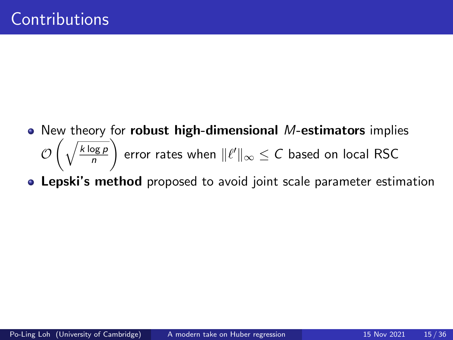- New theory for **robust high-dimensional** M-estimators implies  $\cup$  $\int \sqrt{k \log p}$ n ). error rates when  $\|\ell'\|_\infty \leq \mathcal{C}$  based on local RSC
- **Lepski's method** proposed to avoid joint scale parameter estimation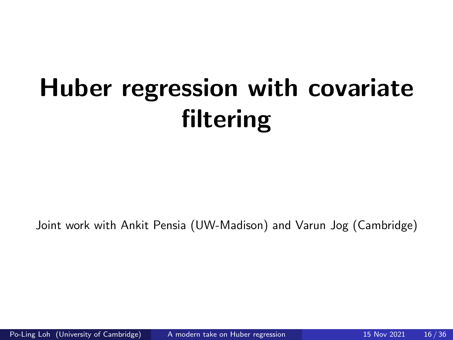# Huber regression with covariate filtering

Joint work with Ankit Pensia (UW-Madison) and Varun Jog (Cambridge)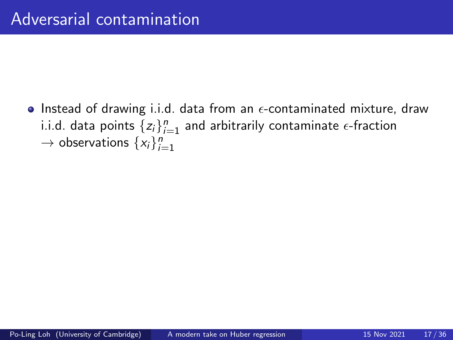• Instead of drawing i.i.d. data from an  $\epsilon$ -contaminated mixture, draw i.i.d. data points  $\{z_i\}_{i=1}^n$  and arbitrarily contaminate  $\epsilon$ -fraction  $\rightarrow$  observations  $\{x_i\}_{i=1}^n$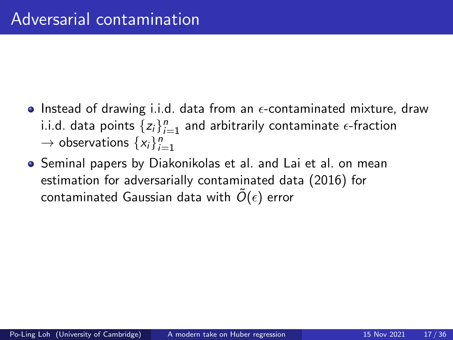- Instead of drawing i.i.d. data from an  $\epsilon$ -contaminated mixture, draw i.i.d. data points  $\{z_i\}_{i=1}^n$  and arbitrarily contaminate  $\epsilon$ -fraction  $\rightarrow$  observations  $\{x_i\}_{i=1}^n$
- **•** Seminal papers by Diakonikolas et al. and Lai et al. on mean estimation for adversarially contaminated data (2016) for contaminated Gaussian data with  $\tilde{O}(\epsilon)$  error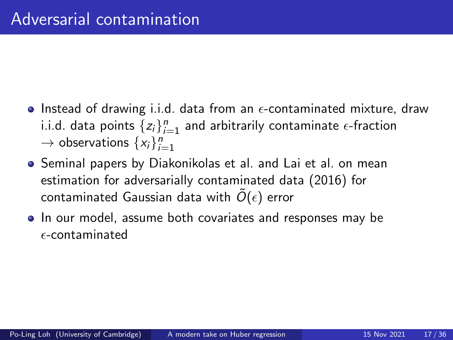- Instead of drawing i.i.d. data from an  $\epsilon$ -contaminated mixture, draw i.i.d. data points  $\{z_i\}_{i=1}^n$  and arbitrarily contaminate  $\epsilon$ -fraction  $\rightarrow$  observations  $\{x_i\}_{i=1}^n$
- **•** Seminal papers by Diakonikolas et al. and Lai et al. on mean estimation for adversarially contaminated data (2016) for contaminated Gaussian data with  $\tilde{O}(\epsilon)$  error
- In our model, assume both covariates and responses may be  $\epsilon$ -contaminated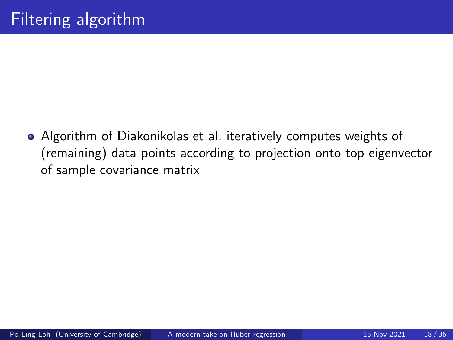Algorithm of Diakonikolas et al. iteratively computes weights of (remaining) data points according to projection onto top eigenvector of sample covariance matrix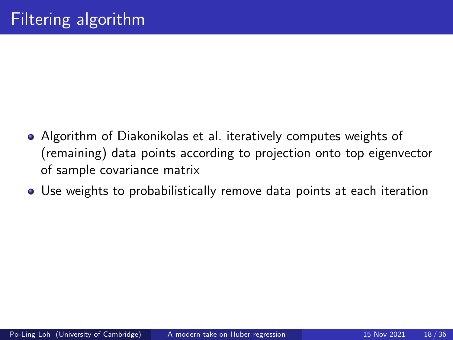- Algorithm of Diakonikolas et al. iteratively computes weights of (remaining) data points according to projection onto top eigenvector of sample covariance matrix
- Use weights to probabilistically remove data points at each iteration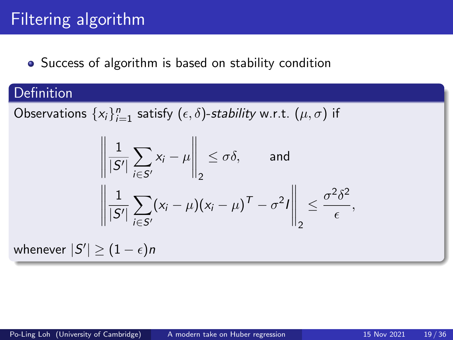# Filtering algorithm

### • Success of algorithm is based on stability condition

### Definition

Observations  $\{x_i\}_{i=1}^n$  satisfy  $(\epsilon, \delta)$ -*stability* w.r.t.  $(\mu, \sigma)$  if

$$
\left\| \frac{1}{|S'|} \sum_{i \in S'} x_i - \mu \right\|_2 \le \sigma \delta, \quad \text{and} \quad \left\| \frac{1}{|S'|} \sum_{i \in S'} (x_i - \mu)(x_i - \mu)^T - \sigma^2 I \right\|_2 \le \frac{\sigma^2 \delta^2}{\epsilon},
$$

whenever  $|S'| \geq (1-\epsilon)n$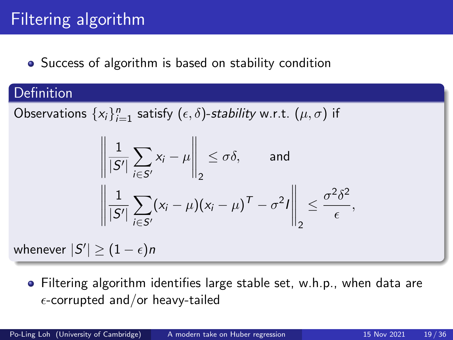# Filtering algorithm

### • Success of algorithm is based on stability condition

### Definition

Observations  $\{x_i\}_{i=1}^n$  satisfy  $(\epsilon, \delta)$ -*stability* w.r.t.  $(\mu, \sigma)$  if

$$
\left\| \frac{1}{|S'|} \sum_{i \in S'} x_i - \mu \right\|_2 \le \sigma \delta, \quad \text{and} \quad \left\| \frac{1}{|S'|} \sum_{i \in S'} (x_i - \mu)(x_i - \mu)^T - \sigma^2 I \right\|_2 \le \frac{\sigma^2 \delta^2}{\epsilon},
$$

whenever  $|S'| \geq (1-\epsilon)n$ 

Filtering algorithm identifies large stable set, w.h.p., when data are  $\epsilon$ -corrupted and/or heavy-tailed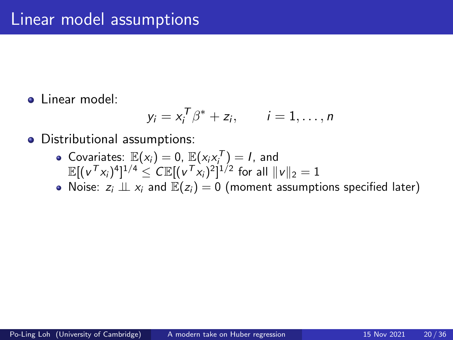**a** Linear model:

$$
y_i = x_i^T \beta^* + z_i, \qquad i = 1, \ldots, n
$$

- Distributional assumptions:
	- Covariates:  $\mathbb{E}(x_i) = 0$ ,  $\mathbb{E}(x_i x_i^T) = I$ , and  $\mathbb{E}[(\nu^\mathcal{T} x_i)^4]^{1/4} \leq C \mathbb{E}[(\nu^\mathcal{T} x_i)^2]^{1/2}$  for all  $\|\nu\|_2 = 1$
	- Noise:  $z_i \perp z_i$  and  $\mathbb{E}(z_i) = 0$  (moment assumptions specified later)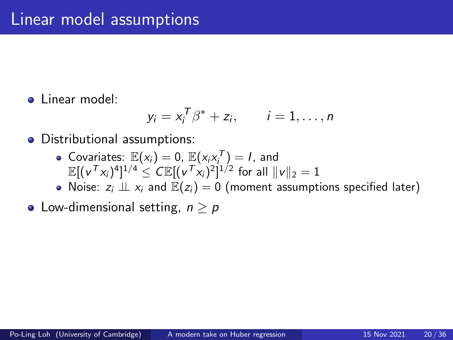**a** Linear model:

$$
y_i = x_i^T \beta^* + z_i, \qquad i = 1, \ldots, n
$$

- Distributional assumptions:
	- Covariates:  $\mathbb{E}(x_i) = 0$ ,  $\mathbb{E}(x_i x_i^T) = I$ , and  $\mathbb{E}[(\nu^\mathcal{T} x_i)^4]^{1/4} \leq C \mathbb{E}[(\nu^\mathcal{T} x_i)^2]^{1/2}$  for all  $\|\nu\|_2 = 1$
	- Noise:  $z_i \perp z_i$  and  $\mathbb{E}(z_i) = 0$  (moment assumptions specified later)
- Low-dimensional setting,  $n \geq p$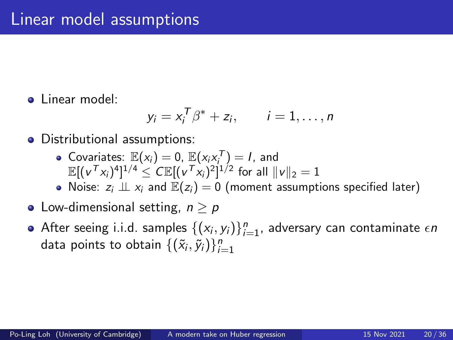**a** Linear model:

$$
y_i = x_i^T \beta^* + z_i, \qquad i = 1, \ldots, n
$$

- Distributional assumptions:
	- Covariates:  $\mathbb{E}(x_i) = 0$ ,  $\mathbb{E}(x_i x_i^T) = I$ , and  $\mathbb{E}[(\nu^\mathcal{T} x_i)^4]^{1/4} \leq C \mathbb{E}[(\nu^\mathcal{T} x_i)^2]^{1/2}$  for all  $\|\nu\|_2 = 1$
	- Noise:  $z_i \perp z_i$  and  $\mathbb{E}(z_i) = 0$  (moment assumptions specified later)
- Low-dimensional setting,  $n \geq p$
- After seeing i.i.d. samples  $\{(x_i, y_i)\}_{i=1}^n$ , adversary can contaminate  $\epsilon n$ data points to obtain  $\{(\tilde{x}_i, \tilde{y}_i)\}_{i=1}^n$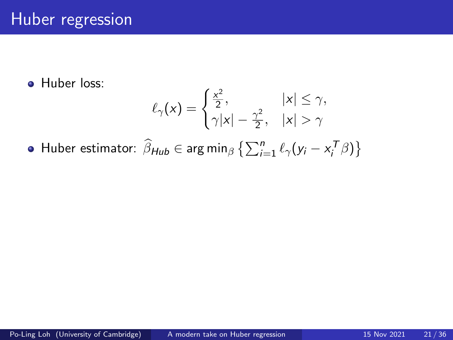**A** Huber loss:

$$
\ell_{\gamma}(x) = \begin{cases} \frac{x^2}{2}, & |x| \leq \gamma, \\ \gamma |x| - \frac{\gamma^2}{2}, & |x| > \gamma \end{cases}
$$

Huber estimator:  $\widehat{\beta}_{\text{Hub}} \in \arg \min_{\beta} \left\{ \sum_{i=1}^{n} \ell_{\gamma}(y_{i} - x_{i}^{T} \beta) \right\}$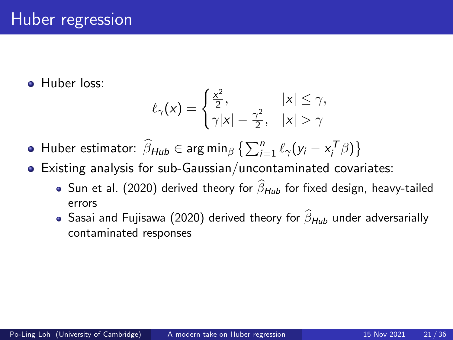**A** Huber loss:

$$
\ell_{\gamma}(x) = \begin{cases} \frac{x^2}{2}, & |x| \leq \gamma, \\ \gamma |x| - \frac{\gamma^2}{2}, & |x| > \gamma \end{cases}
$$

Huber estimator:  $\widehat{\beta}_{\text{Hub}} \in \arg \min_{\beta} \left\{ \sum_{i=1}^{n} \ell_{\gamma}(y_{i} - x_{i}^{T} \beta) \right\}$ 

- Existing analysis for sub-Gaussian/uncontaminated covariates:
	- Sun et al. (2020) derived theory for  $\widehat{\beta}_{Huh}$  for fixed design, heavy-tailed errors
	- Sasai and Fujisawa (2020) derived theory for  $\widehat{\beta}_{\mathcal{H}\mu\nu}$  under adversarially contaminated responses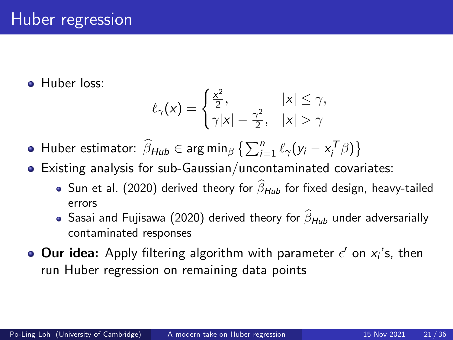**A** Huber loss:

$$
\ell_{\gamma}(x) = \begin{cases} \frac{x^2}{2}, & |x| \leq \gamma, \\ \gamma |x| - \frac{\gamma^2}{2}, & |x| > \gamma \end{cases}
$$

Huber estimator:  $\widehat{\beta}_{\text{Hub}} \in \arg \min_{\beta} \left\{ \sum_{i=1}^{n} \ell_{\gamma}(y_{i} - x_{i}^{T} \beta) \right\}$ 

- Existing analysis for sub-Gaussian/uncontaminated covariates:
	- Sun et al. (2020) derived theory for  $\widehat{\beta}_{Huh}$  for fixed design, heavy-tailed errors
	- Sasai and Fujisawa (2020) derived theory for  $\widehat{\beta}_{Hub}$  under adversarially contaminated responses
- Our idea: Apply filtering algorithm with parameter  $\epsilon'$  on  $x_i$ 's, then run Huber regression on remaining data points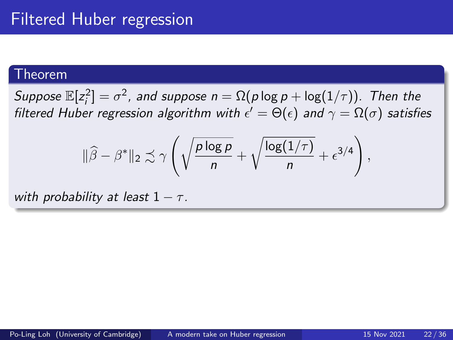Suppose  $\mathbb{E}[z_i^2]=\sigma^2$ , and suppose  $n=\Omega(\rho\log\rho+\log(1/\tau))$ . Then the filtered Huber regression algorithm with  $\epsilon' = \Theta(\epsilon)$  and  $\gamma = \Omega(\sigma)$  satisfies

$$
\|\widehat{\beta} - \beta^*\|_2 \precsim \gamma \left( \sqrt{\frac{p \log p}{n}} + \sqrt{\frac{\log(1/\tau)}{n}} + \epsilon^{3/4} \right)
$$

with probability at least  $1 - \tau$ .

,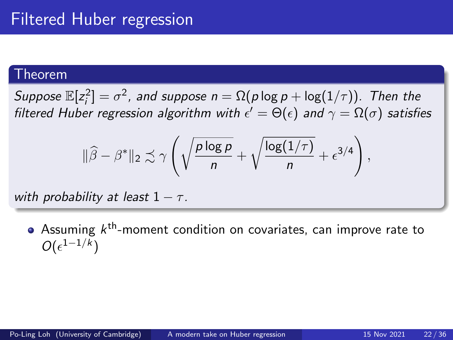Suppose  $\mathbb{E}[z_i^2]=\sigma^2$ , and suppose  $n=\Omega(\rho\log\rho+\log(1/\tau))$ . Then the filtered Huber regression algorithm with  $\epsilon' = \Theta(\epsilon)$  and  $\gamma = \Omega(\sigma)$  satisfies

$$
\|\widehat{\beta} - \beta^*\|_2 \precsim \gamma \left( \sqrt{\frac{p \log p}{n}} + \sqrt{\frac{\log(1/\tau)}{n}} + \epsilon^{3/4} \right),\,
$$

with probability at least  $1 - \tau$ .

Assuming  $k^{\text{th}}$ -moment condition on covariates, can improve rate to  $O(\epsilon^{1-1/k})$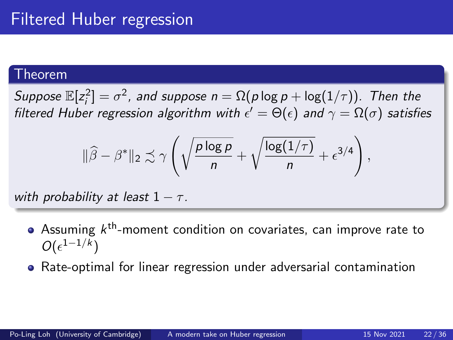Suppose  $\mathbb{E}[z_i^2]=\sigma^2$ , and suppose  $n=\Omega(\rho\log\rho+\log(1/\tau))$ . Then the filtered Huber regression algorithm with  $\epsilon' = \Theta(\epsilon)$  and  $\gamma = \Omega(\sigma)$  satisfies

$$
\|\widehat{\beta} - \beta^*\|_2 \precsim \gamma \left( \sqrt{\frac{p \log p}{n}} + \sqrt{\frac{\log(1/\tau)}{n}} + \epsilon^{3/4} \right),\,
$$

with probability at least  $1 - \tau$ .

- Assuming  $k^{\text{th}}$ -moment condition on covariates, can improve rate to  $O(\epsilon^{1-1/k})$
- Rate-optimal for linear regression under adversarial contamination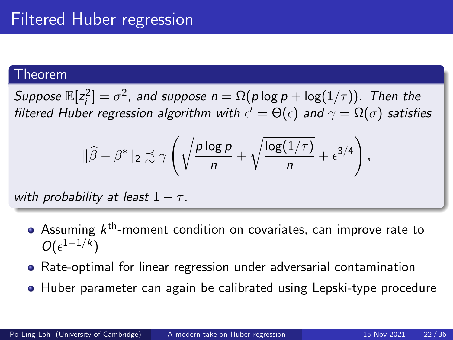Suppose  $\mathbb{E}[z_i^2]=\sigma^2$ , and suppose  $n=\Omega(\rho\log\rho+\log(1/\tau))$ . Then the filtered Huber regression algorithm with  $\epsilon' = \Theta(\epsilon)$  and  $\gamma = \Omega(\sigma)$  satisfies

$$
\|\widehat{\beta} - \beta^*\|_2 \precsim \gamma \left( \sqrt{\frac{p \log p}{n}} + \sqrt{\frac{\log(1/\tau)}{n}} + \epsilon^{3/4} \right),\,
$$

with probability at least  $1 - \tau$ .

- Assuming  $k^{\text{th}}$ -moment condition on covariates, can improve rate to  $O(\epsilon^{1-1/k})$
- Rate-optimal for linear regression under adversarial contamination
- **Huber parameter can again be calibrated using Lepski-type procedure**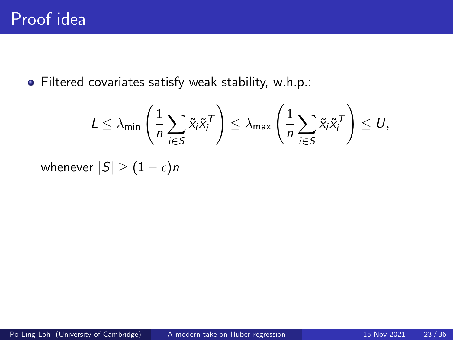Filtered covariates satisfy weak stability, w.h.p.:

$$
L \leq \lambda_{\min} \left( \frac{1}{n} \sum_{i \in S} \tilde{x}_i \tilde{x}_i^T \right) \leq \lambda_{\max} \left( \frac{1}{n} \sum_{i \in S} \tilde{x}_i \tilde{x}_i^T \right) \leq U,
$$

whenever  $|S| \geq (1 - \epsilon)n$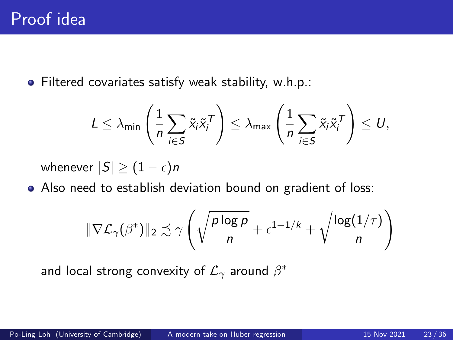Filtered covariates satisfy weak stability, w.h.p.:

$$
L \leq \lambda_{\min} \left( \frac{1}{n} \sum_{i \in S} \tilde{x}_i \tilde{x}_i^T \right) \leq \lambda_{\max} \left( \frac{1}{n} \sum_{i \in S} \tilde{x}_i \tilde{x}_i^T \right) \leq U,
$$

whenever  $|S| \geq (1 - \epsilon)n$ 

Also need to establish deviation bound on gradient of loss:

$$
\|\nabla \mathcal{L}_{\gamma}(\beta^{*})\|_{2} \precsim \gamma \left(\sqrt{\frac{p \log p}{n}} + \epsilon^{1-1/k} + \sqrt{\frac{\log(1/\tau)}{n}}\right)
$$

and local strong convexity of  $\mathcal{L}_{\gamma}$  around  $\beta^*$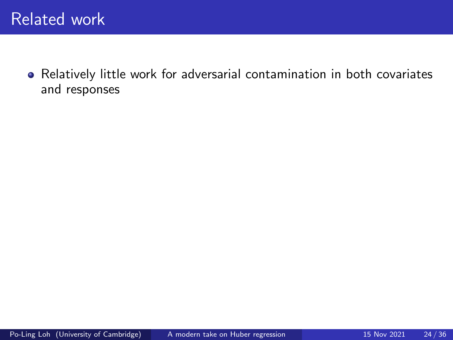Relatively little work for adversarial contamination in both covariates and responses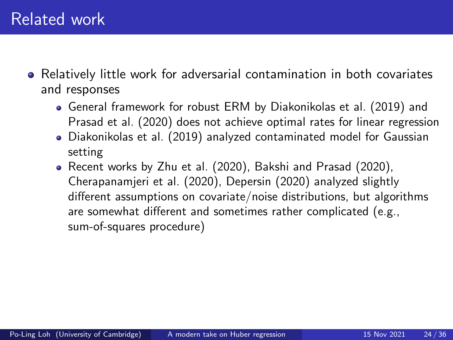- Relatively little work for adversarial contamination in both covariates and responses
	- General framework for robust ERM by Diakonikolas et al. (2019) and Prasad et al. (2020) does not achieve optimal rates for linear regression
	- Diakonikolas et al. (2019) analyzed contaminated model for Gaussian setting
	- Recent works by Zhu et al. (2020), Bakshi and Prasad (2020), Cherapanamjeri et al. (2020), Depersin (2020) analyzed slightly different assumptions on covariate/noise distributions, but algorithms are somewhat different and sometimes rather complicated (e.g., sum-of-squares procedure)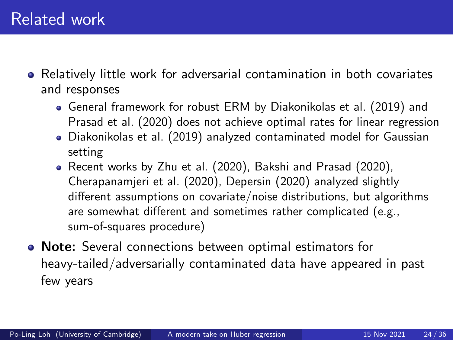- Relatively little work for adversarial contamination in both covariates and responses
	- General framework for robust ERM by Diakonikolas et al. (2019) and Prasad et al. (2020) does not achieve optimal rates for linear regression
	- Diakonikolas et al. (2019) analyzed contaminated model for Gaussian setting
	- Recent works by Zhu et al. (2020), Bakshi and Prasad (2020), Cherapanamjeri et al. (2020), Depersin (2020) analyzed slightly different assumptions on covariate/noise distributions, but algorithms are somewhat different and sometimes rather complicated (e.g., sum-of-squares procedure)
- Note: Several connections between optimal estimators for heavy-tailed/adversarially contaminated data have appeared in past few years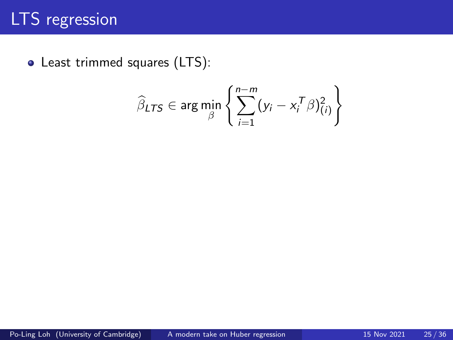## LTS regression

Least trimmed squares (LTS):

$$
\widehat{\beta}_{LTS} \in \arg\min_{\beta} \left\{ \sum_{i=1}^{n-m} (y_i - x_i^T \beta)_{(i)}^2 \right\}
$$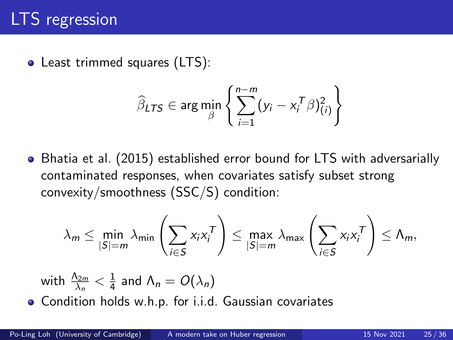• Least trimmed squares (LTS):

$$
\widehat{\beta}_{LTS} \in \arg\min_{\beta} \left\{ \sum_{i=1}^{n-m} (y_i - x_i^T \beta)_{(i)}^2 \right\}
$$

Bhatia et al. (2015) established error bound for LTS with adversarially contaminated responses, when covariates satisfy subset strong convexity/smoothness (SSC/S) condition:

$$
\lambda_m \leq \min_{|S|=m} \lambda_{\min} \left( \sum_{i \in S} x_i x_i^T \right) \leq \max_{|S|=m} \lambda_{\max} \left( \sum_{i \in S} x_i x_i^T \right) \leq \Lambda_m,
$$

with 
$$
\frac{\Lambda_{2m}}{\lambda_n} < \frac{1}{4}
$$
 and  $\Lambda_n = O(\lambda_n)$ 

Condition holds w.h.p. for i.i.d. Gaussian covariates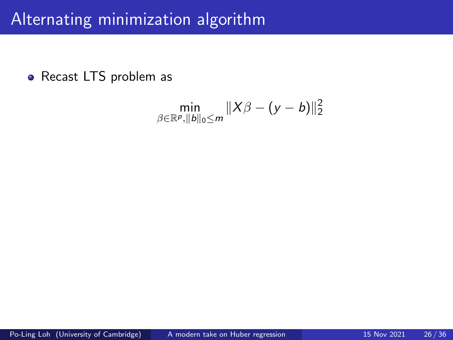## Alternating minimization algorithm

• Recast LTS problem as

$$
\min_{\beta \in \mathbb{R}^p, ||b||_0 \le m} \|X\beta - (y - b)\|_2^2
$$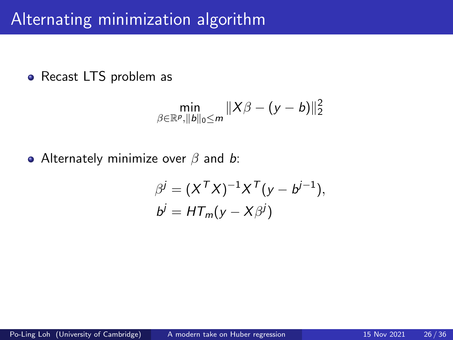### Alternating minimization algorithm

• Recast LTS problem as

$$
\min_{\beta \in \mathbb{R}^p, ||b||_0 \le m} ||X\beta - (y - b)||_2^2
$$

• Alternately minimize over  $\beta$  and  $\boldsymbol{b}$ :

$$
\beta^{j} = (X^{T}X)^{-1}X^{T}(y - b^{j-1}),
$$
  
\n
$$
b^{j} = HT_{m}(y - X\beta^{j})
$$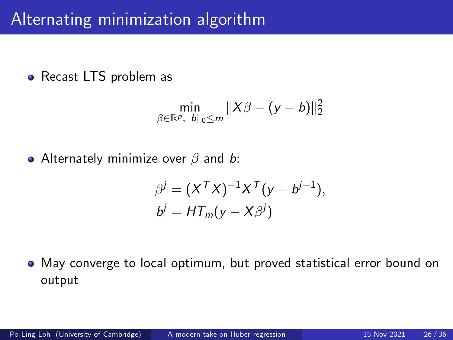## Alternating minimization algorithm

• Recast LTS problem as

$$
\min_{\beta \in \mathbb{R}^p, ||b||_0 \le m} ||X\beta - (y - b)||_2^2
$$

• Alternately minimize over  $\beta$  and b:

$$
\beta^{j} = (X^{T}X)^{-1}X^{T}(y - b^{j-1}),
$$
  
\n
$$
b^{j} = HT_{m}(y - X\beta^{j})
$$

May converge to local optimum, but proved statistical error bound on output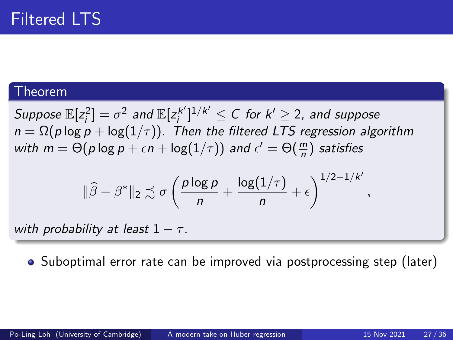Suppose  $\mathbb{E}[z_i^2] = \sigma^2$  and  $\mathbb{E}[z_i^{k'}]$  $\sum_{i=1}^{\lfloor k' \rfloor} 1^{i/k'} \leq C$  for  $k' \geq 2$ , and suppose  $n = \Omega(p \log p + \log(1/\tau))$ . Then the filtered LTS regression algorithm with  $m = \Theta(p \log p + \epsilon n + \log(1/\tau))$  and  $\epsilon' = \Theta(\frac{m}{n})$  satisfies

$$
\|\widehat{\beta} - \beta^*\|_2 \precsim \sigma \left( \frac{p \log p}{n} + \frac{\log(1/\tau)}{n} + \epsilon \right)^{1/2 - 1/k'}
$$

with probability at least  $1 - \tau$ .

• Suboptimal error rate can be improved via postprocessing step (later)

,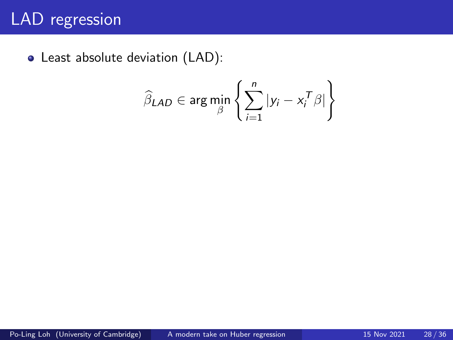# LAD regression

Least absolute deviation (LAD):

$$
\widehat{\beta}_{LAD} \in \arg\min_{\beta} \left\{ \sum_{i=1}^{n} |y_i - x_i^T \beta| \right\}
$$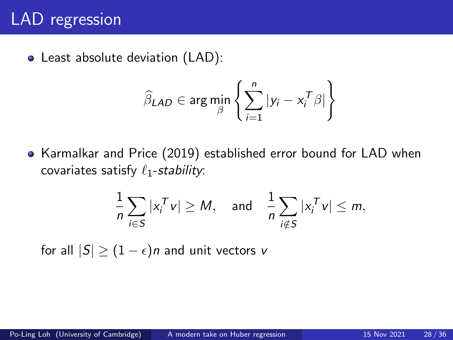## LAD regression

Least absolute deviation (LAD):

$$
\widehat{\beta}_{LAD} \in \arg\min_{\beta} \left\{ \sum_{i=1}^{n} |y_i - x_i^T \beta| \right\}
$$

Karmalkar and Price (2019) established error bound for LAD when covariates satisfy  $\ell_1$ -stability:

$$
\frac{1}{n}\sum_{i\in S}|x_i^T v| \geq M, \text{ and } \frac{1}{n}\sum_{i\notin S}|x_i^T v| \leq m,
$$

for all  $|S| \geq (1 - \epsilon)n$  and unit vectors v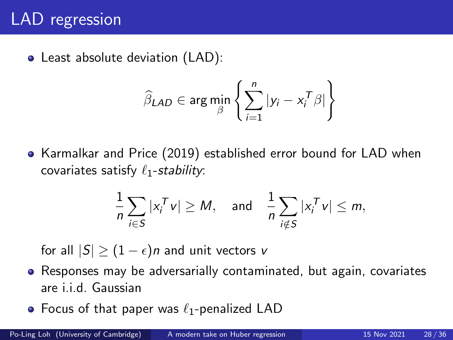# LAD regression

Least absolute deviation (LAD):

$$
\widehat{\beta}_{LAD} \in \arg\min_{\beta} \left\{ \sum_{i=1}^{n} |y_i - x_i^T \beta| \right\}
$$

Karmalkar and Price (2019) established error bound for LAD when covariates satisfy  $\ell_1$ -stability:

$$
\frac{1}{n}\sum_{i\in S}|x_i^T v| \geq M, \text{ and } \frac{1}{n}\sum_{i\notin S}|x_i^T v| \leq m,
$$

for all  $|S| \geq (1 - \epsilon)n$  and unit vectors v

- Responses may be adversarially contaminated, but again, covariates are i.i.d. Gaussian
- Focus of that paper was  $\ell_1$ -penalized LAD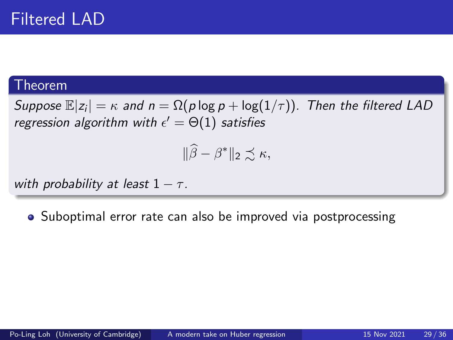Suppose  $\mathbb{E}|z_i| = \kappa$  and  $n = \Omega(p \log p + \log(1/\tau))$ . Then the filtered LAD regression algorithm with  $\epsilon' = \Theta(1)$  satisfies

$$
\|\widehat{\beta}-\beta^*\|_2 \precsim \kappa,
$$

with probability at least  $1 - \tau$ .

• Suboptimal error rate can also be improved via postprocessing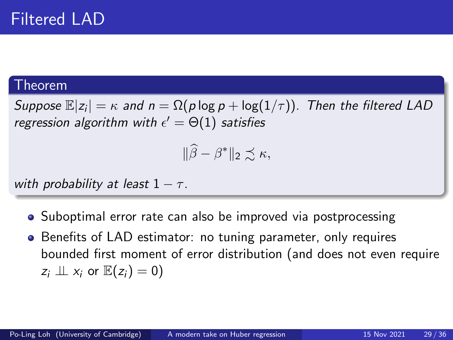Suppose  $\mathbb{E}|z_i| = \kappa$  and  $n = \Omega(p \log p + \log(1/\tau))$ . Then the filtered LAD regression algorithm with  $\epsilon' = \Theta(1)$  satisfies

$$
\|\widehat{\beta}-\beta^*\|_2 \precsim \kappa,
$$

with probability at least  $1 - \tau$ .

- Suboptimal error rate can also be improved via postprocessing
- Benefits of LAD estimator: no tuning parameter, only requires bounded first moment of error distribution (and does not even require  $z_i \perp\!\!\!\perp x_i$  or  $\mathbb{E}(z_i) = 0$ )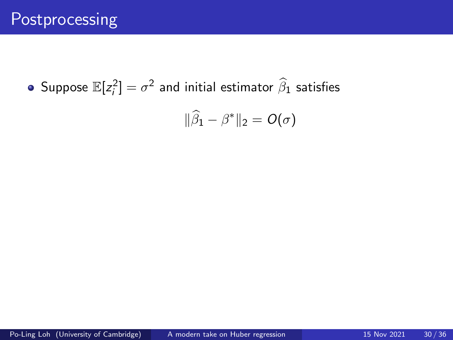Suppose  $\mathbb{E}[z_i^2]=\sigma^2$  and initial estimator  $\widehat{\beta}_1$  satisfies

$$
\|\widehat{\beta}_1-\beta^*\|_2=O(\sigma)
$$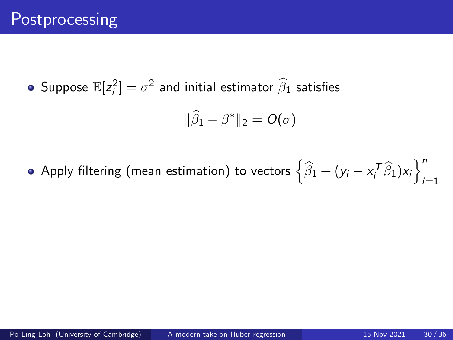Suppose  $\mathbb{E}[z_i^2]=\sigma^2$  and initial estimator  $\widehat{\beta}_1$  satisfies

$$
\|\widehat{\beta}_1-\beta^*\|_2=O(\sigma)
$$

Apply filtering (mean estimation) to vectors  $\left\{\widehat{\beta}_1 + (\mathsf{y}_i - \mathsf{x}_i^{\mathcal{T}}\widehat{\beta}_1)\mathsf{x}_i\right\}_{i=1}^n$  $i=1$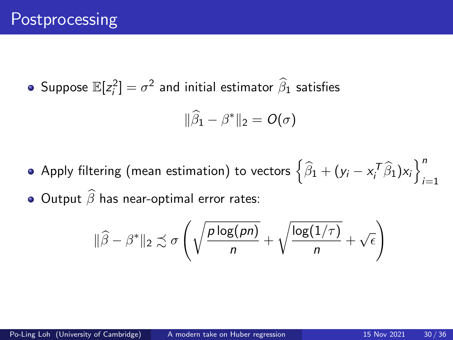Suppose  $\mathbb{E}[z_i^2]=\sigma^2$  and initial estimator  $\widehat{\beta}_1$  satisfies

$$
\|\widehat{\beta}_1-\beta^*\|_2=O(\sigma)
$$

Apply filtering (mean estimation) to vectors  $\left\{\widehat{\beta}_1 + (\mathsf{y}_i - \mathsf{x}_i^{\mathcal{T}}\widehat{\beta}_1)\mathsf{x}_i\right\}_{i=1}^n$  $i=1$  $\bullet$  Output  $\widehat{\beta}$  has near-optimal error rates:

$$
\|\widehat{\beta} - \beta^*\|_2 \precsim \sigma \left( \sqrt{\frac{p \log(pn)}{n}} + \sqrt{\frac{\log(1/\tau)}{n}} + \sqrt{\epsilon} \right)
$$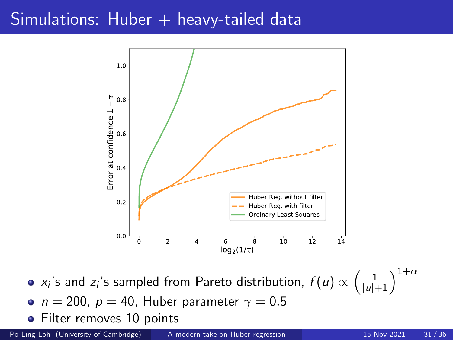## Simulations: Huber  $+$  heavy-tailed data



 $\alpha$ ,'s and  $z_i$ 's sampled from Pareto distribution,  $f(u) \propto \left(\frac{1}{|u|+1}\right)^{1+\alpha}$ 

• 
$$
n = 200
$$
,  $p = 40$ , Huber parameter  $\gamma = 0.5$ 

• Filter removes 10 points

Po-Ling Loh (University of Cambridge) [A modern take on Huber regression](#page-0-0) 15 Nov 2021 31/36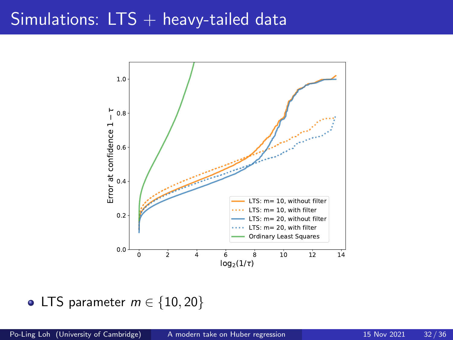## Simulations:  $LTS +$  heavy-tailed data



#### • LTS parameter  $m \in \{10, 20\}$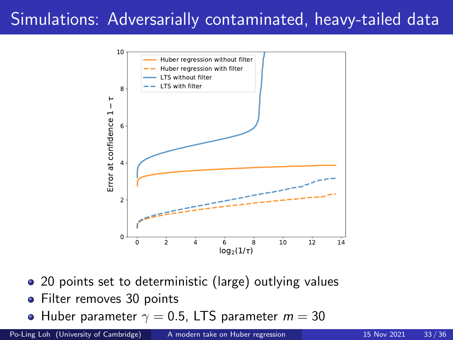## Simulations: Adversarially contaminated, heavy-tailed data



- 20 points set to deterministic (large) outlying values
- Filter removes 30 points
- Huber parameter  $\gamma = 0.5$ , LTS parameter  $m = 30$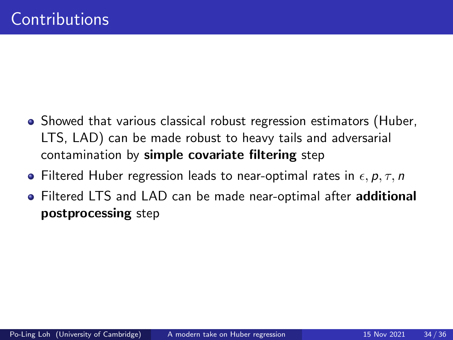- Showed that various classical robust regression estimators (Huber, LTS, LAD) can be made robust to heavy tails and adversarial contamination by simple covariate filtering step
- Filtered Huber regression leads to near-optimal rates in  $\epsilon, p, \tau, n$
- **•** Filtered LTS and LAD can be made near-optimal after **additional** postprocessing step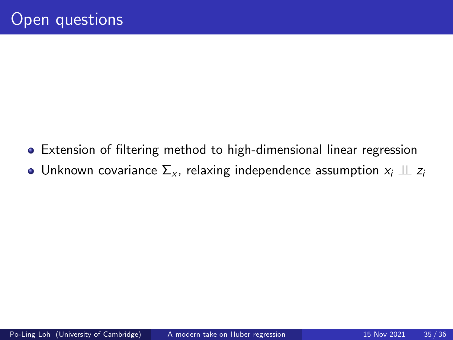- Extension of filtering method to high-dimensional linear regression
- Unknown covariance  $\Sigma_{x}$ , relaxing independence assumption  $x_i \perp z_i$